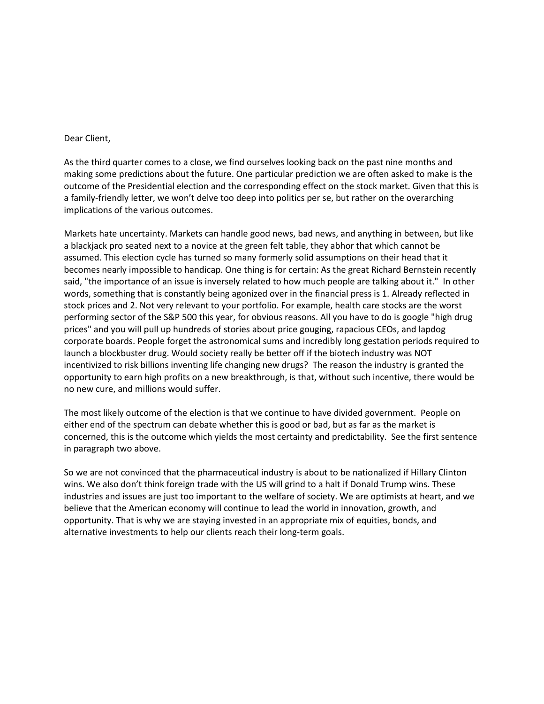## Dear Client,

As the third quarter comes to a close, we find ourselves looking back on the past nine months and making some predictions about the future. One particular prediction we are often asked to make is the outcome of the Presidential election and the corresponding effect on the stock market. Given that this is a family-friendly letter, we won't delve too deep into politics per se, but rather on the overarching implications of the various outcomes.

Markets hate uncertainty. Markets can handle good news, bad news, and anything in between, but like a blackjack pro seated next to a novice at the green felt table, they abhor that which cannot be assumed. This election cycle has turned so many formerly solid assumptions on their head that it becomes nearly impossible to handicap. One thing is for certain: As the great Richard Bernstein recently said, "the importance of an issue is inversely related to how much people are talking about it." In other words, something that is constantly being agonized over in the financial press is 1. Already reflected in stock prices and 2. Not very relevant to your portfolio. For example, health care stocks are the worst performing sector of the S&P 500 this year, for obvious reasons. All you have to do is google "high drug prices" and you will pull up hundreds of stories about price gouging, rapacious CEOs, and lapdog corporate boards. People forget the astronomical sums and incredibly long gestation periods required to launch a blockbuster drug. Would society really be better off if the biotech industry was NOT incentivized to risk billions inventing life changing new drugs? The reason the industry is granted the opportunity to earn high profits on a new breakthrough, is that, without such incentive, there would be no new cure, and millions would suffer.

The most likely outcome of the election is that we continue to have divided government. People on either end of the spectrum can debate whether this is good or bad, but as far as the market is concerned, this is the outcome which yields the most certainty and predictability. See the first sentence in paragraph two above.

So we are not convinced that the pharmaceutical industry is about to be nationalized if Hillary Clinton wins. We also don't think foreign trade with the US will grind to a halt if Donald Trump wins. These industries and issues are just too important to the welfare of society. We are optimists at heart, and we believe that the American economy will continue to lead the world in innovation, growth, and opportunity. That is why we are staying invested in an appropriate mix of equities, bonds, and alternative investments to help our clients reach their long-term goals.